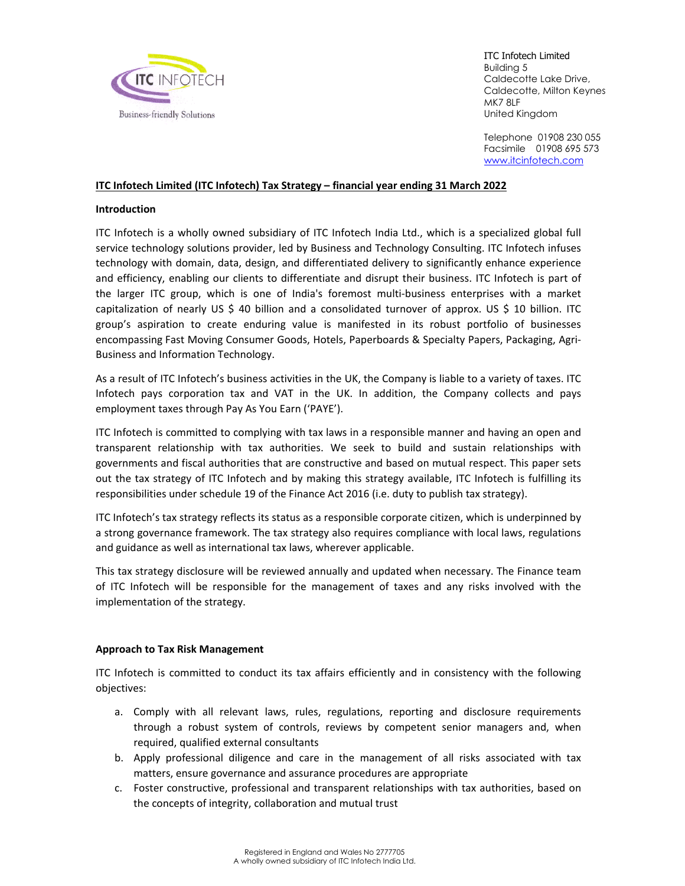

ITC Infotech Limited Building 5 Caldecotte Lake Drive, Caldecotte, Milton Keynes MK7 8LF United Kingdom

Telephone 01908 230 055 Facsimile 01908 695 573 www.itcinfotech.com

## **ITC Infotech Limited (ITC Infotech) Tax Strategy – financial year ending 31 March 2022**

#### **Introduction**

ITC Infotech is a wholly owned subsidiary of ITC Infotech India Ltd., which is a specialized global full service technology solutions provider, led by Business and Technology Consulting. ITC Infotech infuses technology with domain, data, design, and differentiated delivery to significantly enhance experience and efficiency, enabling our clients to differentiate and disrupt their business. ITC Infotech is part of the larger ITC group, which is one of India's foremost multi‐business enterprises with a market capitalization of nearly US \$ 40 billion and a consolidated turnover of approx. US \$ 10 billion. ITC group's aspiration to create enduring value is manifested in its robust portfolio of businesses encompassing Fast Moving Consumer Goods, Hotels, Paperboards & Specialty Papers, Packaging, Agri‐ Business and Information Technology.

As a result of ITC Infotech's business activities in the UK, the Company is liable to a variety of taxes. ITC Infotech pays corporation tax and VAT in the UK. In addition, the Company collects and pays employment taxes through Pay As You Earn ('PAYE').

ITC Infotech is committed to complying with tax laws in a responsible manner and having an open and transparent relationship with tax authorities. We seek to build and sustain relationships with governments and fiscal authorities that are constructive and based on mutual respect. This paper sets out the tax strategy of ITC Infotech and by making this strategy available, ITC Infotech is fulfilling its responsibilities under schedule 19 of the Finance Act 2016 (i.e. duty to publish tax strategy).

ITC Infotech's tax strategy reflects its status as a responsible corporate citizen, which is underpinned by a strong governance framework. The tax strategy also requires compliance with local laws, regulations and guidance as well as international tax laws, wherever applicable.

This tax strategy disclosure will be reviewed annually and updated when necessary. The Finance team of ITC Infotech will be responsible for the management of taxes and any risks involved with the implementation of the strategy.

### **Approach to Tax Risk Management**

ITC Infotech is committed to conduct its tax affairs efficiently and in consistency with the following objectives:

- a. Comply with all relevant laws, rules, regulations, reporting and disclosure requirements through a robust system of controls, reviews by competent senior managers and, when required, qualified external consultants
- b. Apply professional diligence and care in the management of all risks associated with tax matters, ensure governance and assurance procedures are appropriate
- c. Foster constructive, professional and transparent relationships with tax authorities, based on the concepts of integrity, collaboration and mutual trust